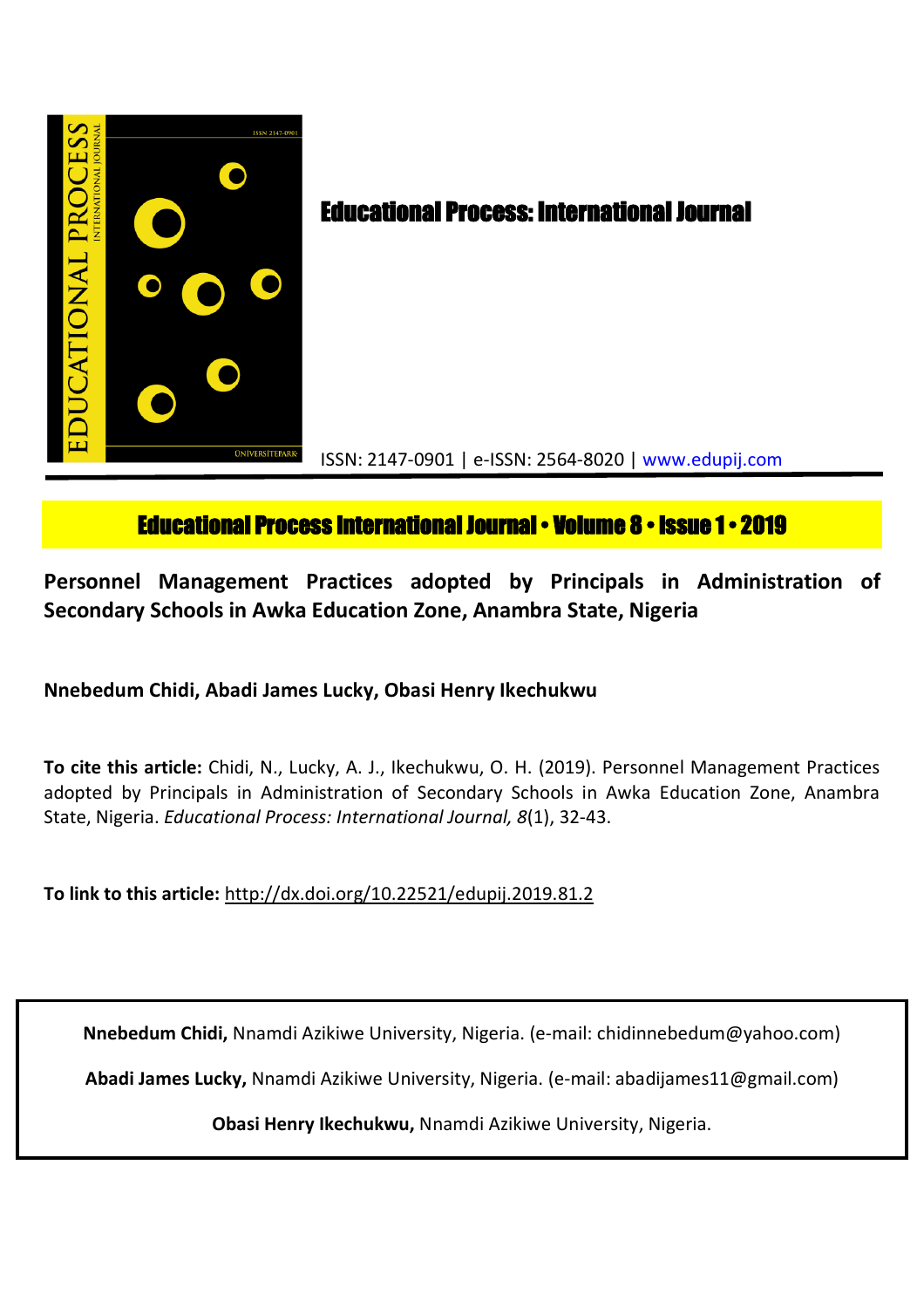

# **Educational Process International Journal • Volume 8 • Issue 1 • 2019**

**Personnel Management Practices adopted by Principals in Administration of Secondary Schools in Awka Education Zone, Anambra State, Nigeria**

**Nnebedum Chidi, Abadi James Lucky, Obasi Henry Ikechukwu**

**To cite this article:** Chidi, N., Lucky, A. J., Ikechukwu, O. H. (2019). Personnel Management Practices adopted by Principals in Administration of Secondary Schools in Awka Education Zone, Anambra State, Nigeria. *Educational Process: International Journal, 8*(1), 32-43.

**To link to this article:** http://dx.doi.org/10.22521/edupij.2019.81.2

**Nnebedum Chidi,** Nnamdi Azikiwe University, Nigeria. (e-mail: chidinnebedum@yahoo.com)

**Abadi James Lucky,** Nnamdi Azikiwe University, Nigeria. (e-mail: abadijames11@gmail.com)

**Obasi Henry Ikechukwu,** Nnamdi Azikiwe University, Nigeria.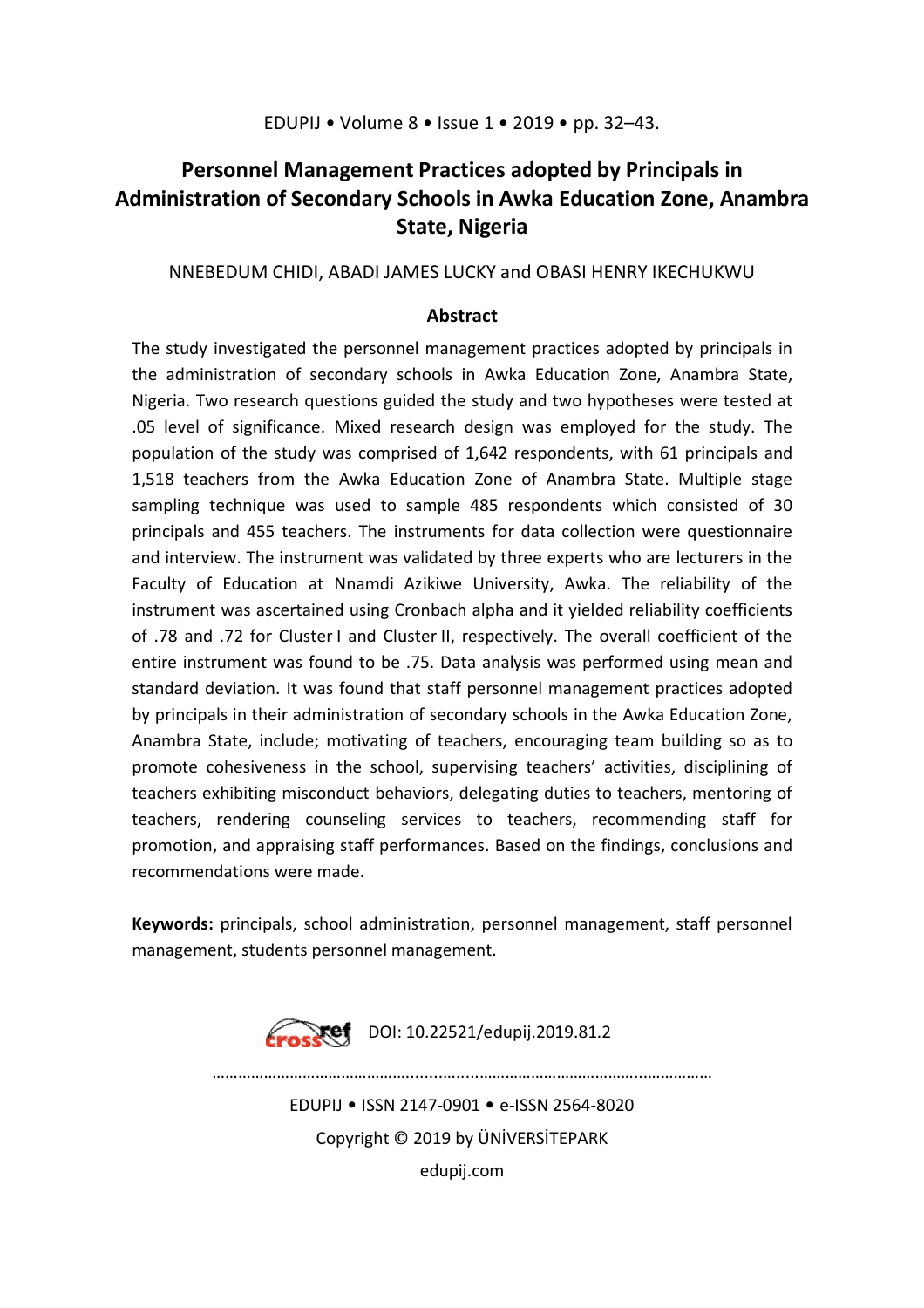## **Personnel Management Practices adopted by Principals in Administration of Secondary Schools in Awka Education Zone, Anambra State, Nigeria**

## NNEBEDUM CHIDI, ABADI JAMES LUCKY and OBASI HENRY IKECHUKWU

## **Abstract**

The study investigated the personnel management practices adopted by principals in the administration of secondary schools in Awka Education Zone, Anambra State, Nigeria. Two research questions guided the study and two hypotheses were tested at .05 level of significance. Mixed research design was employed for the study. The population of the study was comprised of 1,642 respondents, with 61 principals and 1,518 teachers from the Awka Education Zone of Anambra State. Multiple stage sampling technique was used to sample 485 respondents which consisted of 30 principals and 455 teachers. The instruments for data collection were questionnaire and interview. The instrument was validated by three experts who are lecturers in the Faculty of Education at Nnamdi Azikiwe University, Awka. The reliability of the instrument was ascertained using Cronbach alpha and it yielded reliability coefficients of .78 and .72 for Cluster I and Cluster II, respectively. The overall coefficient of the entire instrument was found to be .75. Data analysis was performed using mean and standard deviation. It was found that staff personnel management practices adopted by principals in their administration of secondary schools in the Awka Education Zone, Anambra State, include; motivating of teachers, encouraging team building so as to promote cohesiveness in the school, supervising teachers' activities, disciplining of teachers exhibiting misconduct behaviors, delegating duties to teachers, mentoring of teachers, rendering counseling services to teachers, recommending staff for promotion, and appraising staff performances. Based on the findings, conclusions and recommendations were made.

**Keywords:** principals, school administration, personnel management, staff personnel management, students personnel management.



………………………………………........….....………………………………...……………

EDUPIJ • ISSN 2147-0901 • e-ISSN 2564-8020 Copyright © 2019 by ÜNİVERSİTEPARK

edupij.com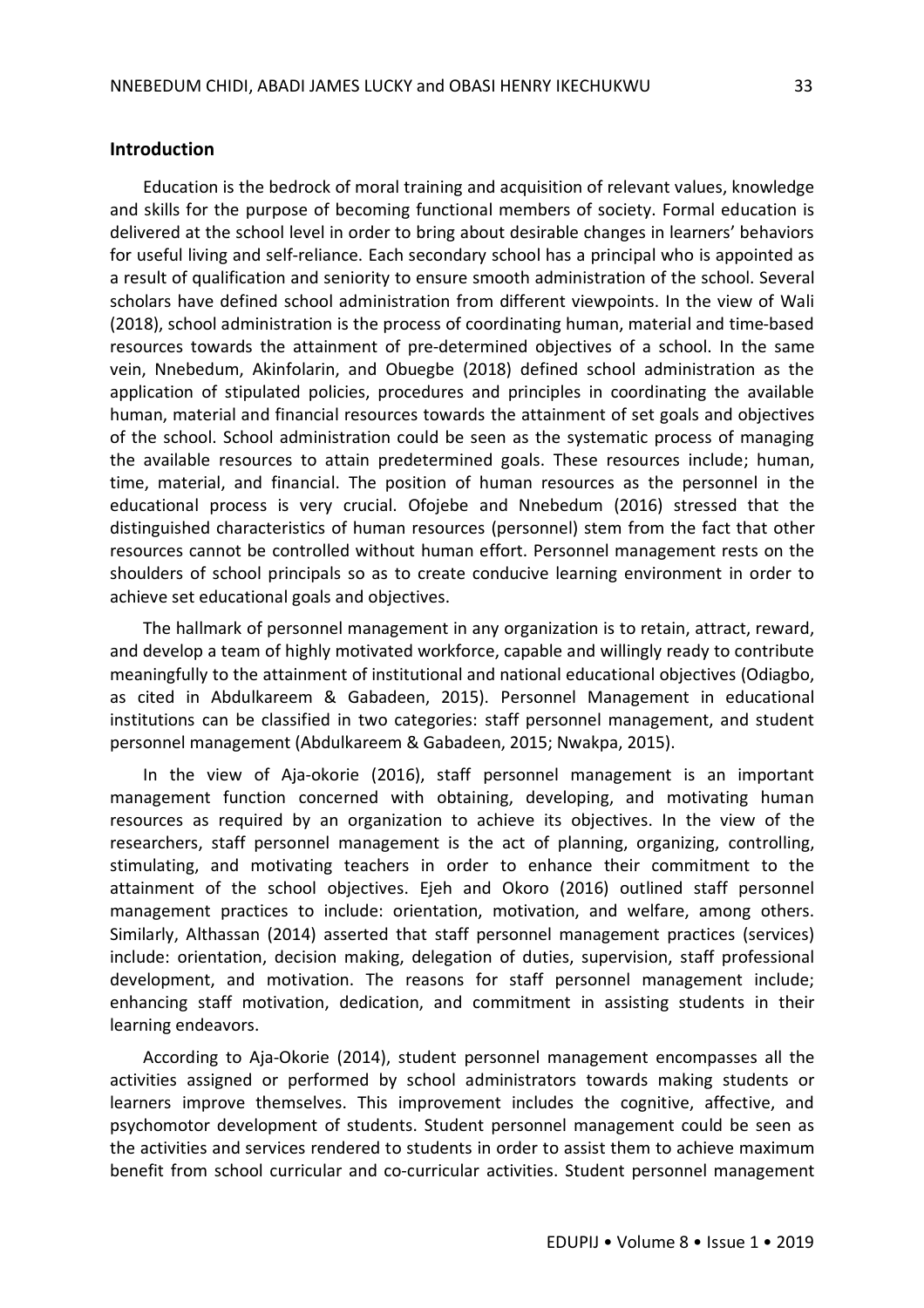#### **Introduction**

Education is the bedrock of moral training and acquisition of relevant values, knowledge and skills for the purpose of becoming functional members of society. Formal education is delivered at the school level in order to bring about desirable changes in learners' behaviors for useful living and self-reliance. Each secondary school has a principal who is appointed as a result of qualification and seniority to ensure smooth administration of the school. Several scholars have defined school administration from different viewpoints. In the view of Wali (2018), school administration is the process of coordinating human, material and time-based resources towards the attainment of pre-determined objectives of a school. In the same vein, Nnebedum, Akinfolarin, and Obuegbe (2018) defined school administration as the application of stipulated policies, procedures and principles in coordinating the available human, material and financial resources towards the attainment of set goals and objectives of the school. School administration could be seen as the systematic process of managing the available resources to attain predetermined goals. These resources include; human, time, material, and financial. The position of human resources as the personnel in the educational process is very crucial. Ofojebe and Nnebedum (2016) stressed that the distinguished characteristics of human resources (personnel) stem from the fact that other resources cannot be controlled without human effort. Personnel management rests on the shoulders of school principals so as to create conducive learning environment in order to achieve set educational goals and objectives.

The hallmark of personnel management in any organization is to retain, attract, reward, and develop a team of highly motivated workforce, capable and willingly ready to contribute meaningfully to the attainment of institutional and national educational objectives (Odiagbo, as cited in Abdulkareem & Gabadeen, 2015). Personnel Management in educational institutions can be classified in two categories: staff personnel management, and student personnel management (Abdulkareem & Gabadeen, 2015; Nwakpa, 2015).

In the view of Aja-okorie (2016), staff personnel management is an important management function concerned with obtaining, developing, and motivating human resources as required by an organization to achieve its objectives. In the view of the researchers, staff personnel management is the act of planning, organizing, controlling, stimulating, and motivating teachers in order to enhance their commitment to the attainment of the school objectives. Ejeh and Okoro (2016) outlined staff personnel management practices to include: orientation, motivation, and welfare, among others. Similarly, Althassan (2014) asserted that staff personnel management practices (services) include: orientation, decision making, delegation of duties, supervision, staff professional development, and motivation. The reasons for staff personnel management include; enhancing staff motivation, dedication, and commitment in assisting students in their learning endeavors.

According to Aja-Okorie (2014), student personnel management encompasses all the activities assigned or performed by school administrators towards making students or learners improve themselves. This improvement includes the cognitive, affective, and psychomotor development of students. Student personnel management could be seen as the activities and services rendered to students in order to assist them to achieve maximum benefit from school curricular and co-curricular activities. Student personnel management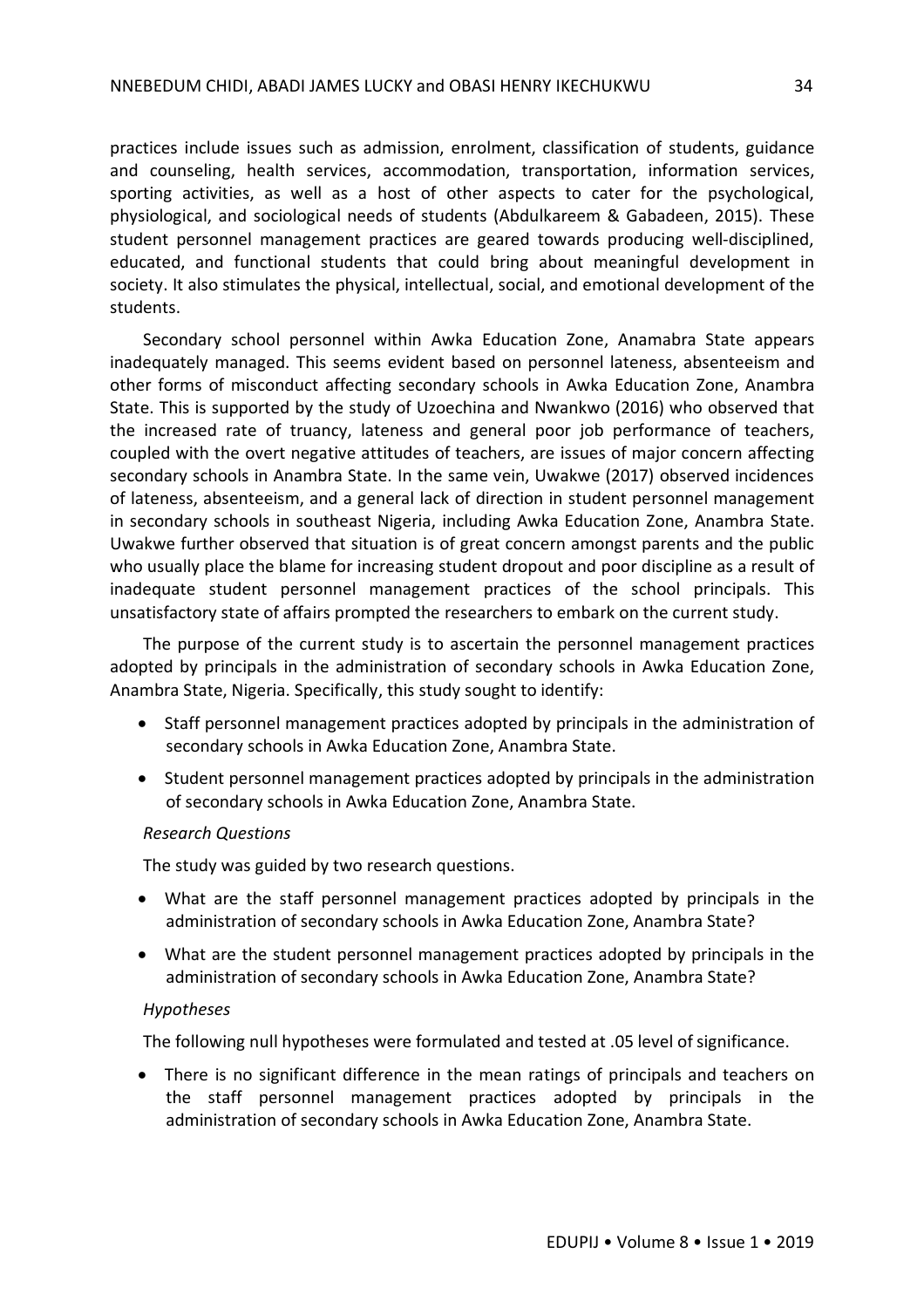practices include issues such as admission, enrolment, classification of students, guidance and counseling, health services, accommodation, transportation, information services, sporting activities, as well as a host of other aspects to cater for the psychological, physiological, and sociological needs of students (Abdulkareem & Gabadeen, 2015). These student personnel management practices are geared towards producing well-disciplined, educated, and functional students that could bring about meaningful development in society. It also stimulates the physical, intellectual, social, and emotional development of the students.

Secondary school personnel within Awka Education Zone, Anamabra State appears inadequately managed. This seems evident based on personnel lateness, absenteeism and other forms of misconduct affecting secondary schools in Awka Education Zone, Anambra State. This is supported by the study of Uzoechina and Nwankwo (2016) who observed that the increased rate of truancy, lateness and general poor job performance of teachers, coupled with the overt negative attitudes of teachers, are issues of major concern affecting secondary schools in Anambra State. In the same vein, Uwakwe (2017) observed incidences of lateness, absenteeism, and a general lack of direction in student personnel management in secondary schools in southeast Nigeria, including Awka Education Zone, Anambra State. Uwakwe further observed that situation is of great concern amongst parents and the public who usually place the blame for increasing student dropout and poor discipline as a result of inadequate student personnel management practices of the school principals. This unsatisfactory state of affairs prompted the researchers to embark on the current study.

The purpose of the current study is to ascertain the personnel management practices adopted by principals in the administration of secondary schools in Awka Education Zone, Anambra State, Nigeria. Specifically, this study sought to identify:

- Staff personnel management practices adopted by principals in the administration of secondary schools in Awka Education Zone, Anambra State.
- Student personnel management practices adopted by principals in the administration of secondary schools in Awka Education Zone, Anambra State.

#### *Research Questions*

The study was guided by two research questions.

- What are the staff personnel management practices adopted by principals in the administration of secondary schools in Awka Education Zone, Anambra State?
- What are the student personnel management practices adopted by principals in the administration of secondary schools in Awka Education Zone, Anambra State?

#### *Hypotheses*

The following null hypotheses were formulated and tested at .05 level of significance.

 There is no significant difference in the mean ratings of principals and teachers on the staff personnel management practices adopted by principals in the administration of secondary schools in Awka Education Zone, Anambra State.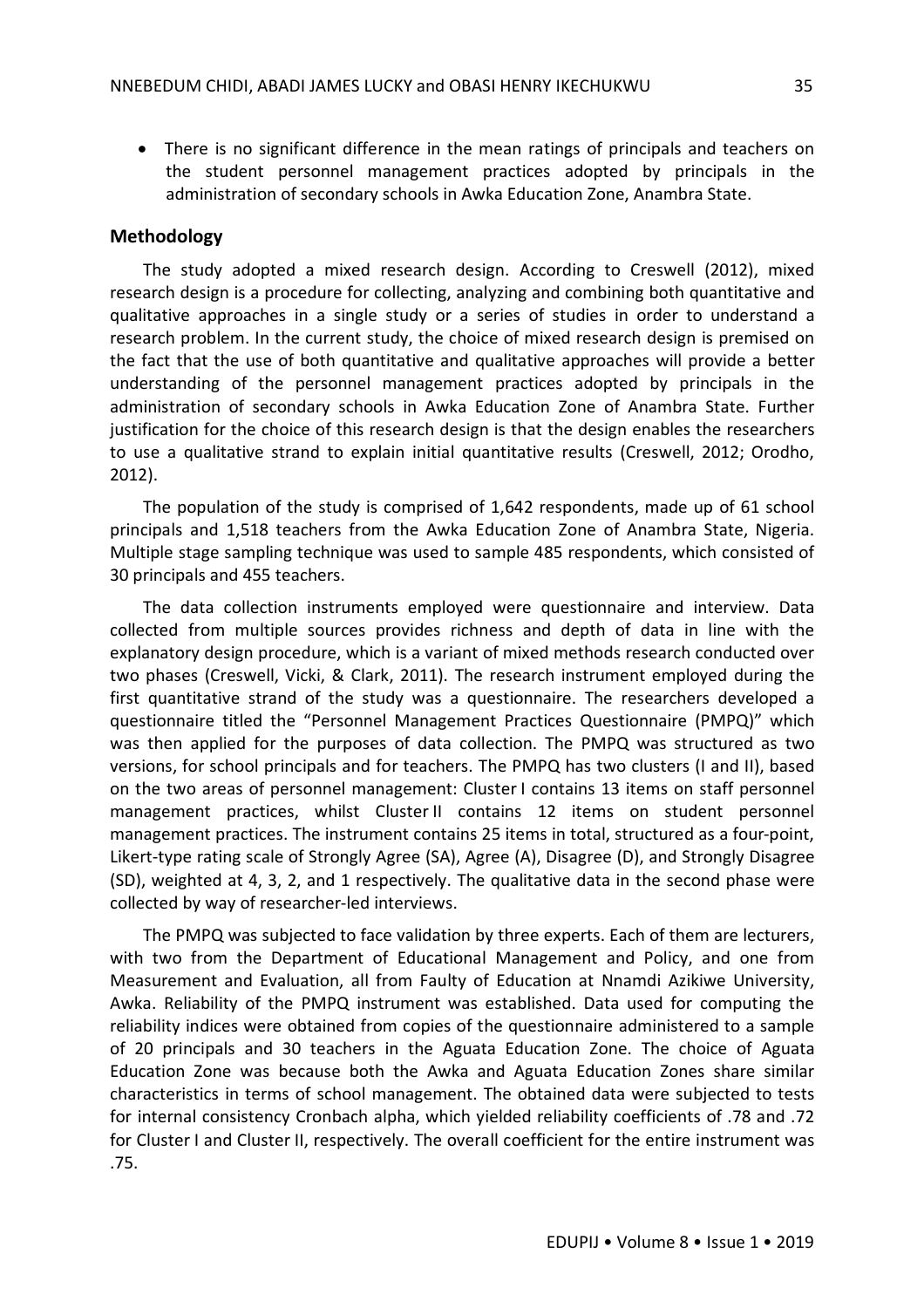There is no significant difference in the mean ratings of principals and teachers on the student personnel management practices adopted by principals in the administration of secondary schools in Awka Education Zone, Anambra State.

#### **Methodology**

The study adopted a mixed research design. According to Creswell (2012), mixed research design is a procedure for collecting, analyzing and combining both quantitative and qualitative approaches in a single study or a series of studies in order to understand a research problem. In the current study, the choice of mixed research design is premised on the fact that the use of both quantitative and qualitative approaches will provide a better understanding of the personnel management practices adopted by principals in the administration of secondary schools in Awka Education Zone of Anambra State. Further justification for the choice of this research design is that the design enables the researchers to use a qualitative strand to explain initial quantitative results (Creswell, 2012; Orodho, 2012).

The population of the study is comprised of 1,642 respondents, made up of 61 school principals and 1,518 teachers from the Awka Education Zone of Anambra State, Nigeria. Multiple stage sampling technique was used to sample 485 respondents, which consisted of 30 principals and 455 teachers.

The data collection instruments employed were questionnaire and interview. Data collected from multiple sources provides richness and depth of data in line with the explanatory design procedure, which is a variant of mixed methods research conducted over two phases (Creswell, Vicki, & Clark, 2011). The research instrument employed during the first quantitative strand of the study was a questionnaire. The researchers developed a questionnaire titled the "Personnel Management Practices Questionnaire (PMPQ)" which was then applied for the purposes of data collection. The PMPQ was structured as two versions, for school principals and for teachers. The PMPQ has two clusters (I and II), based on the two areas of personnel management: Cluster I contains 13 items on staff personnel management practices, whilst Cluster II contains 12 items on student personnel management practices. The instrument contains 25 items in total, structured as a four-point, Likert-type rating scale of Strongly Agree (SA), Agree (A), Disagree (D), and Strongly Disagree (SD), weighted at 4, 3, 2, and 1 respectively. The qualitative data in the second phase were collected by way of researcher-led interviews.

The PMPQ was subjected to face validation by three experts. Each of them are lecturers, with two from the Department of Educational Management and Policy, and one from Measurement and Evaluation, all from Faulty of Education at Nnamdi Azikiwe University, Awka. Reliability of the PMPQ instrument was established. Data used for computing the reliability indices were obtained from copies of the questionnaire administered to a sample of 20 principals and 30 teachers in the Aguata Education Zone. The choice of Aguata Education Zone was because both the Awka and Aguata Education Zones share similar characteristics in terms of school management. The obtained data were subjected to tests for internal consistency Cronbach alpha, which yielded reliability coefficients of .78 and .72 for Cluster I and Cluster II, respectively. The overall coefficient for the entire instrument was .75.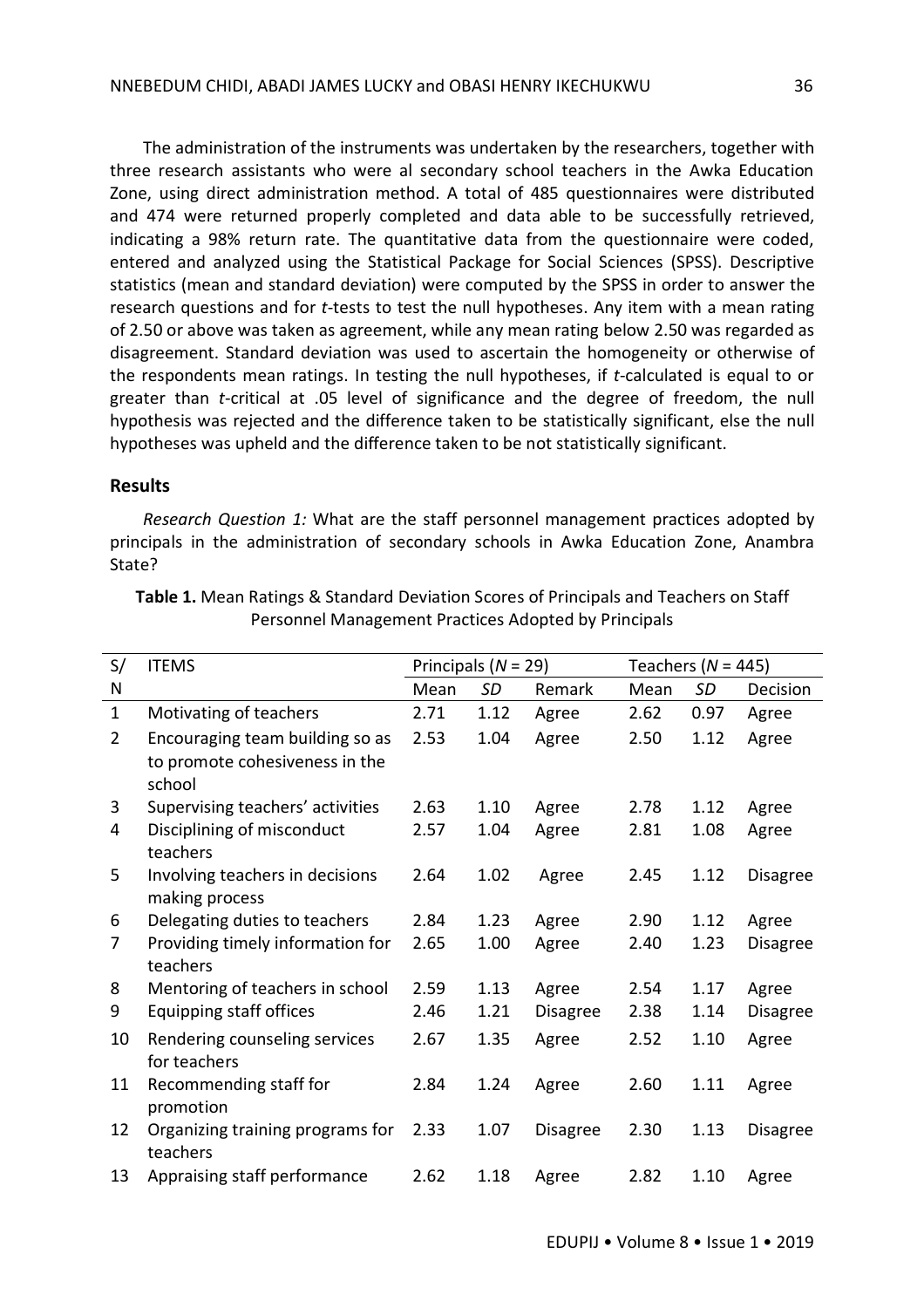The administration of the instruments was undertaken by the researchers, together with three research assistants who were al secondary school teachers in the Awka Education Zone, using direct administration method. A total of 485 questionnaires were distributed and 474 were returned properly completed and data able to be successfully retrieved, indicating a 98% return rate. The quantitative data from the questionnaire were coded, entered and analyzed using the Statistical Package for Social Sciences (SPSS). Descriptive statistics (mean and standard deviation) were computed by the SPSS in order to answer the research questions and for *t*-tests to test the null hypotheses. Any item with a mean rating of 2.50 or above was taken as agreement, while any mean rating below 2.50 was regarded as disagreement. Standard deviation was used to ascertain the homogeneity or otherwise of the respondents mean ratings. In testing the null hypotheses, if *t*-calculated is equal to or greater than *t*-critical at .05 level of significance and the degree of freedom, the null hypothesis was rejected and the difference taken to be statistically significant, else the null hypotheses was upheld and the difference taken to be not statistically significant.

#### **Results**

*Research Question 1:* What are the staff personnel management practices adopted by principals in the administration of secondary schools in Awka Education Zone, Anambra State?

| S/           | <b>ITEMS</b>                                                                |      | Principals ( $N = 29$ ) |                 |      | Teachers ( $N = 445$ ) |                 |  |  |
|--------------|-----------------------------------------------------------------------------|------|-------------------------|-----------------|------|------------------------|-----------------|--|--|
| N            |                                                                             | Mean | SD                      | Remark          | Mean | SD                     | Decision        |  |  |
| $\mathbf{1}$ | Motivating of teachers                                                      | 2.71 | 1.12                    | Agree           | 2.62 | 0.97                   | Agree           |  |  |
| 2            | Encouraging team building so as<br>to promote cohesiveness in the<br>school | 2.53 | 1.04                    | Agree           | 2.50 | 1.12                   | Agree           |  |  |
| 3            | Supervising teachers' activities                                            | 2.63 | 1.10                    | Agree           | 2.78 | 1.12                   | Agree           |  |  |
| 4            | Disciplining of misconduct<br>teachers                                      | 2.57 | 1.04                    | Agree           | 2.81 | 1.08                   | Agree           |  |  |
| 5            | Involving teachers in decisions<br>making process                           | 2.64 | 1.02                    | Agree           | 2.45 | 1.12                   | <b>Disagree</b> |  |  |
| 6            | Delegating duties to teachers                                               | 2.84 | 1.23                    | Agree           | 2.90 | 1.12                   | Agree           |  |  |
| 7            | Providing timely information for<br>teachers                                | 2.65 | 1.00                    | Agree           | 2.40 | 1.23                   | <b>Disagree</b> |  |  |
| 8            | Mentoring of teachers in school                                             | 2.59 | 1.13                    | Agree           | 2.54 | 1.17                   | Agree           |  |  |
| 9            | Equipping staff offices                                                     | 2.46 | 1.21                    | <b>Disagree</b> | 2.38 | 1.14                   | <b>Disagree</b> |  |  |
| 10           | Rendering counseling services<br>for teachers                               | 2.67 | 1.35                    | Agree           | 2.52 | 1.10                   | Agree           |  |  |
| 11           | Recommending staff for<br>promotion                                         | 2.84 | 1.24                    | Agree           | 2.60 | 1.11                   | Agree           |  |  |
| 12           | Organizing training programs for<br>teachers                                | 2.33 | 1.07                    | <b>Disagree</b> | 2.30 | 1.13                   | <b>Disagree</b> |  |  |
| 13           | Appraising staff performance                                                | 2.62 | 1.18                    | Agree           | 2.82 | 1.10                   | Agree           |  |  |

**Table 1.** Mean Ratings & Standard Deviation Scores of Principals and Teachers on Staff Personnel Management Practices Adopted by Principals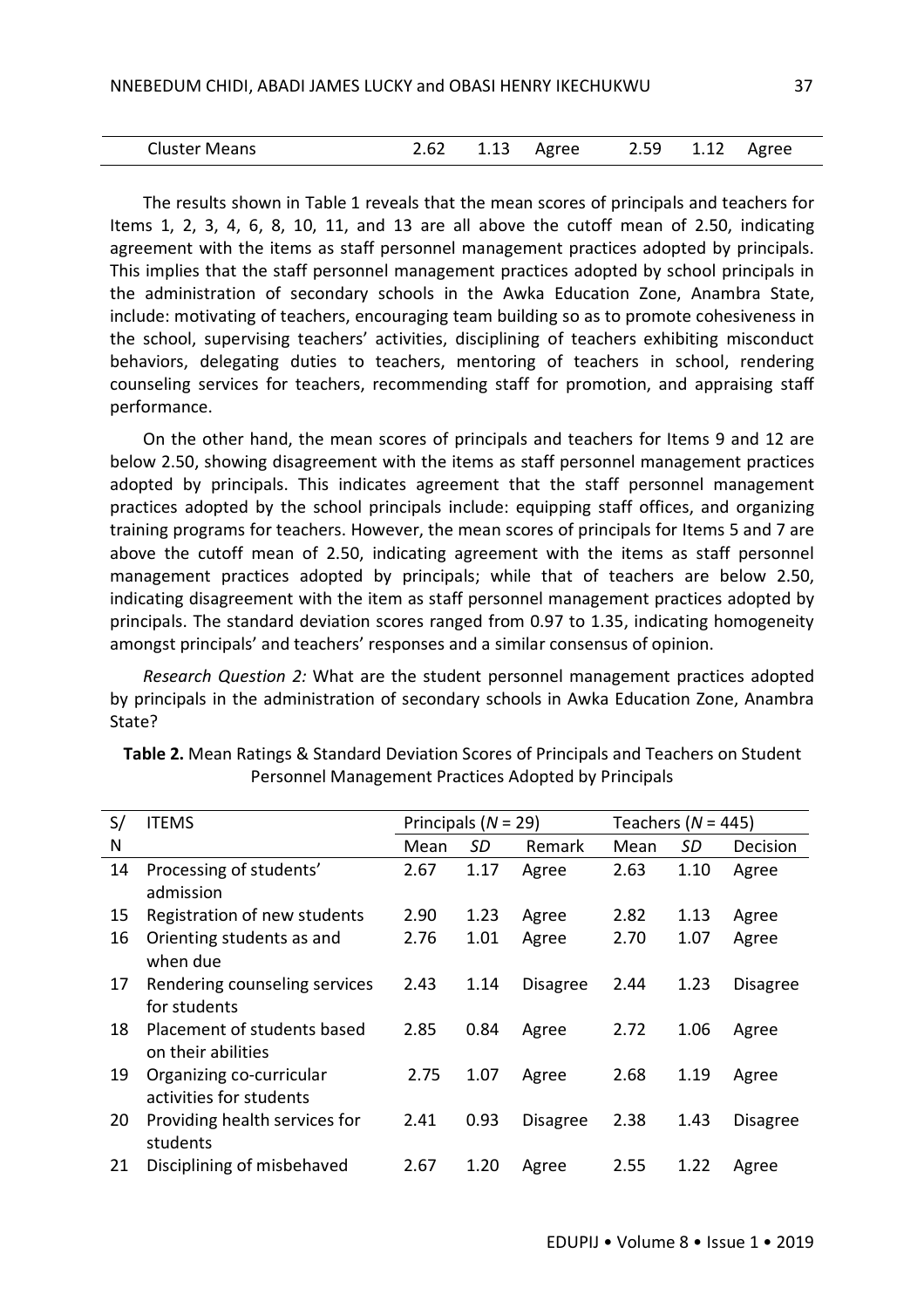| <b>Cluster Means</b> |  |  | 2.62 1.13 Agree |  |  | 2.59 1.12 Agree |  |
|----------------------|--|--|-----------------|--|--|-----------------|--|
|----------------------|--|--|-----------------|--|--|-----------------|--|

The results shown in Table 1 reveals that the mean scores of principals and teachers for Items 1, 2, 3, 4, 6, 8, 10, 11, and 13 are all above the cutoff mean of 2.50, indicating agreement with the items as staff personnel management practices adopted by principals. This implies that the staff personnel management practices adopted by school principals in the administration of secondary schools in the Awka Education Zone, Anambra State, include: motivating of teachers, encouraging team building so as to promote cohesiveness in the school, supervising teachers' activities, disciplining of teachers exhibiting misconduct behaviors, delegating duties to teachers, mentoring of teachers in school, rendering counseling services for teachers, recommending staff for promotion, and appraising staff performance.

On the other hand, the mean scores of principals and teachers for Items 9 and 12 are below 2.50, showing disagreement with the items as staff personnel management practices adopted by principals. This indicates agreement that the staff personnel management practices adopted by the school principals include: equipping staff offices, and organizing training programs for teachers. However, the mean scores of principals for Items 5 and 7 are above the cutoff mean of 2.50, indicating agreement with the items as staff personnel management practices adopted by principals; while that of teachers are below 2.50, indicating disagreement with the item as staff personnel management practices adopted by principals. The standard deviation scores ranged from 0.97 to 1.35, indicating homogeneity amongst principals' and teachers' responses and a similar consensus of opinion.

*Research Question 2:* What are the student personnel management practices adopted by principals in the administration of secondary schools in Awka Education Zone, Anambra State?

| S/ | <b>ITEMS</b>                                        | Principals ( $N = 29$ ) |      |                 | Teachers ( $N = 445$ ) |      |                 |
|----|-----------------------------------------------------|-------------------------|------|-----------------|------------------------|------|-----------------|
| N  |                                                     | Mean                    | SD   | <b>Remark</b>   | Mean                   | SD   | Decision        |
| 14 | Processing of students'<br>admission                | 2.67                    | 1.17 | Agree           | 2.63                   | 1.10 | Agree           |
| 15 | Registration of new students                        | 2.90                    | 1.23 | Agree           | 2.82                   | 1.13 | Agree           |
| 16 | Orienting students as and<br>when due               | 2.76                    | 1.01 | Agree           | 2.70                   | 1.07 | Agree           |
| 17 | Rendering counseling services<br>for students       | 2.43                    | 1.14 | <b>Disagree</b> | 2.44                   | 1.23 | <b>Disagree</b> |
| 18 | Placement of students based<br>on their abilities   | 2.85                    | 0.84 | Agree           | 2.72                   | 1.06 | Agree           |
| 19 | Organizing co-curricular<br>activities for students | 2.75                    | 1.07 | Agree           | 2.68                   | 1.19 | Agree           |
| 20 | Providing health services for<br>students           | 2.41                    | 0.93 | <b>Disagree</b> | 2.38                   | 1.43 | <b>Disagree</b> |
| 21 | Disciplining of misbehaved                          | 2.67                    | 1.20 | Agree           | 2.55                   | 1.22 | Agree           |

**Table 2.** Mean Ratings & Standard Deviation Scores of Principals and Teachers on Student Personnel Management Practices Adopted by Principals

EDUPIJ • Volume 8 • Issue 1 • 2019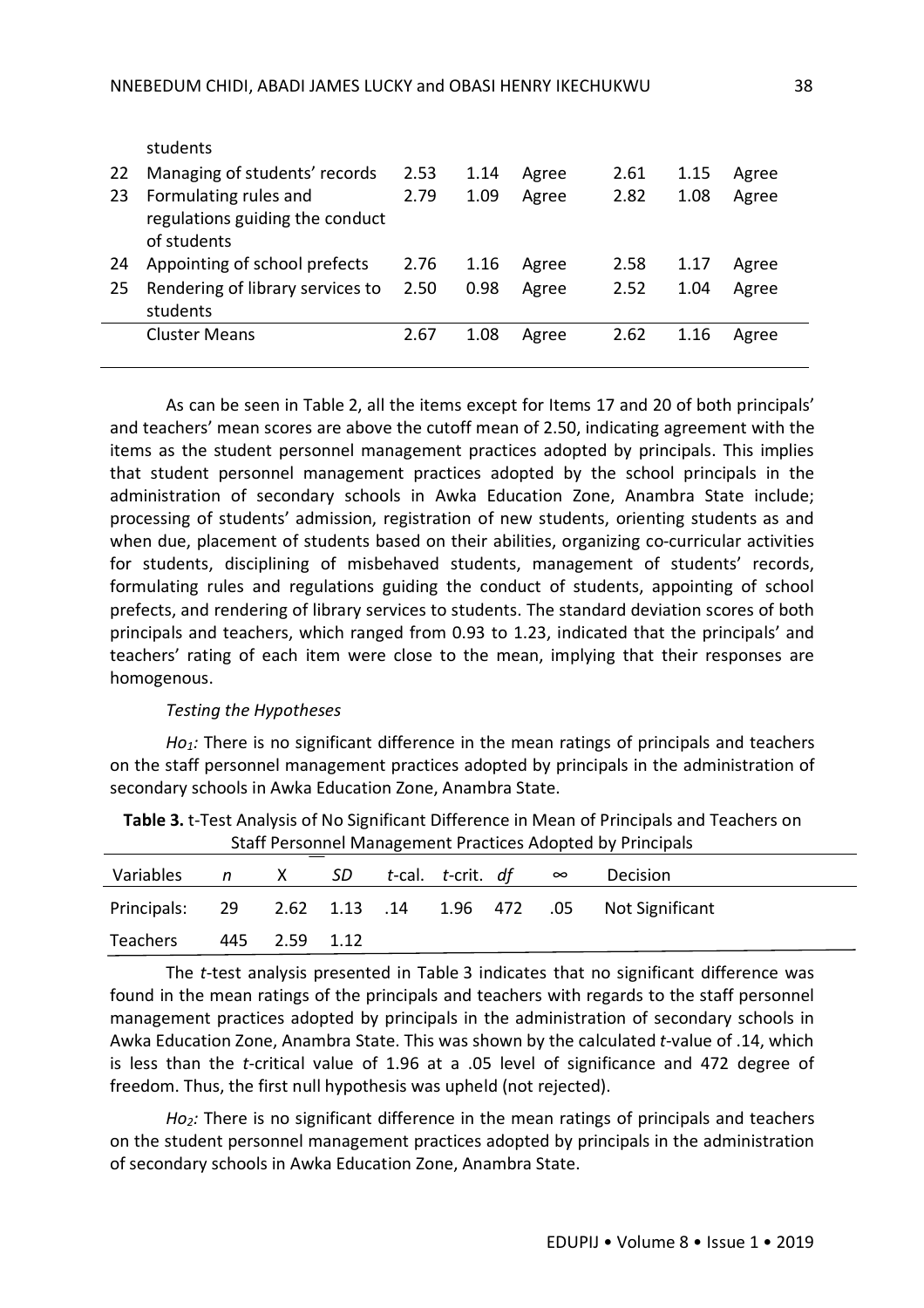|    | students                         |      |      |       |      |      |       |
|----|----------------------------------|------|------|-------|------|------|-------|
| 22 | Managing of students' records    | 2.53 | 1.14 | Agree | 2.61 | 1.15 | Agree |
| 23 | Formulating rules and            | 2.79 | 1.09 | Agree | 2.82 | 1.08 | Agree |
|    | regulations guiding the conduct  |      |      |       |      |      |       |
|    | of students                      |      |      |       |      |      |       |
| 24 | Appointing of school prefects    | 2.76 | 1.16 | Agree | 2.58 | 1.17 | Agree |
| 25 | Rendering of library services to | 2.50 | 0.98 | Agree | 2.52 | 1.04 | Agree |
|    | students                         |      |      |       |      |      |       |
|    | <b>Cluster Means</b>             | 2.67 | 1.08 | Agree | 2.62 | 1.16 | Agree |
|    |                                  |      |      |       |      |      |       |

As can be seen in Table 2, all the items except for Items 17 and 20 of both principals' and teachers' mean scores are above the cutoff mean of 2.50, indicating agreement with the items as the student personnel management practices adopted by principals. This implies that student personnel management practices adopted by the school principals in the administration of secondary schools in Awka Education Zone, Anambra State include; processing of students' admission, registration of new students, orienting students as and when due, placement of students based on their abilities, organizing co-curricular activities for students, disciplining of misbehaved students, management of students' records, formulating rules and regulations guiding the conduct of students, appointing of school prefects, and rendering of library services to students. The standard deviation scores of both principals and teachers, which ranged from 0.93 to 1.23, indicated that the principals' and teachers' rating of each item were close to the mean, implying that their responses are homogenous.

#### *Testing the Hypotheses*

*Ho1:* There is no significant difference in the mean ratings of principals and teachers on the staff personnel management practices adopted by principals in the administration of secondary schools in Awka Education Zone, Anambra State.

| Staff Personnel Management Practices Adopted by Principals |  |               |  |                                   |  |  |  |                                                           |  |  |
|------------------------------------------------------------|--|---------------|--|-----------------------------------|--|--|--|-----------------------------------------------------------|--|--|
| Variables                                                  |  |               |  | n X SD t-cal. t-crit. df $\infty$ |  |  |  | <b>Decision</b>                                           |  |  |
|                                                            |  |               |  |                                   |  |  |  | Principals: 29 2.62 1.13 .14 1.96 472 .05 Not Significant |  |  |
| Teachers                                                   |  | 445 2.59 1.12 |  |                                   |  |  |  |                                                           |  |  |

**Table 3.** t-Test Analysis of No Significant Difference in Mean of Principals and Teachers on t Dractices Ado

The *t*-test analysis presented in Table 3 indicates that no significant difference was found in the mean ratings of the principals and teachers with regards to the staff personnel management practices adopted by principals in the administration of secondary schools in Awka Education Zone, Anambra State. This was shown by the calculated *t*-value of .14, which is less than the *t*-critical value of 1.96 at a .05 level of significance and 472 degree of freedom. Thus, the first null hypothesis was upheld (not rejected).

*Ho2:* There is no significant difference in the mean ratings of principals and teachers on the student personnel management practices adopted by principals in the administration of secondary schools in Awka Education Zone, Anambra State.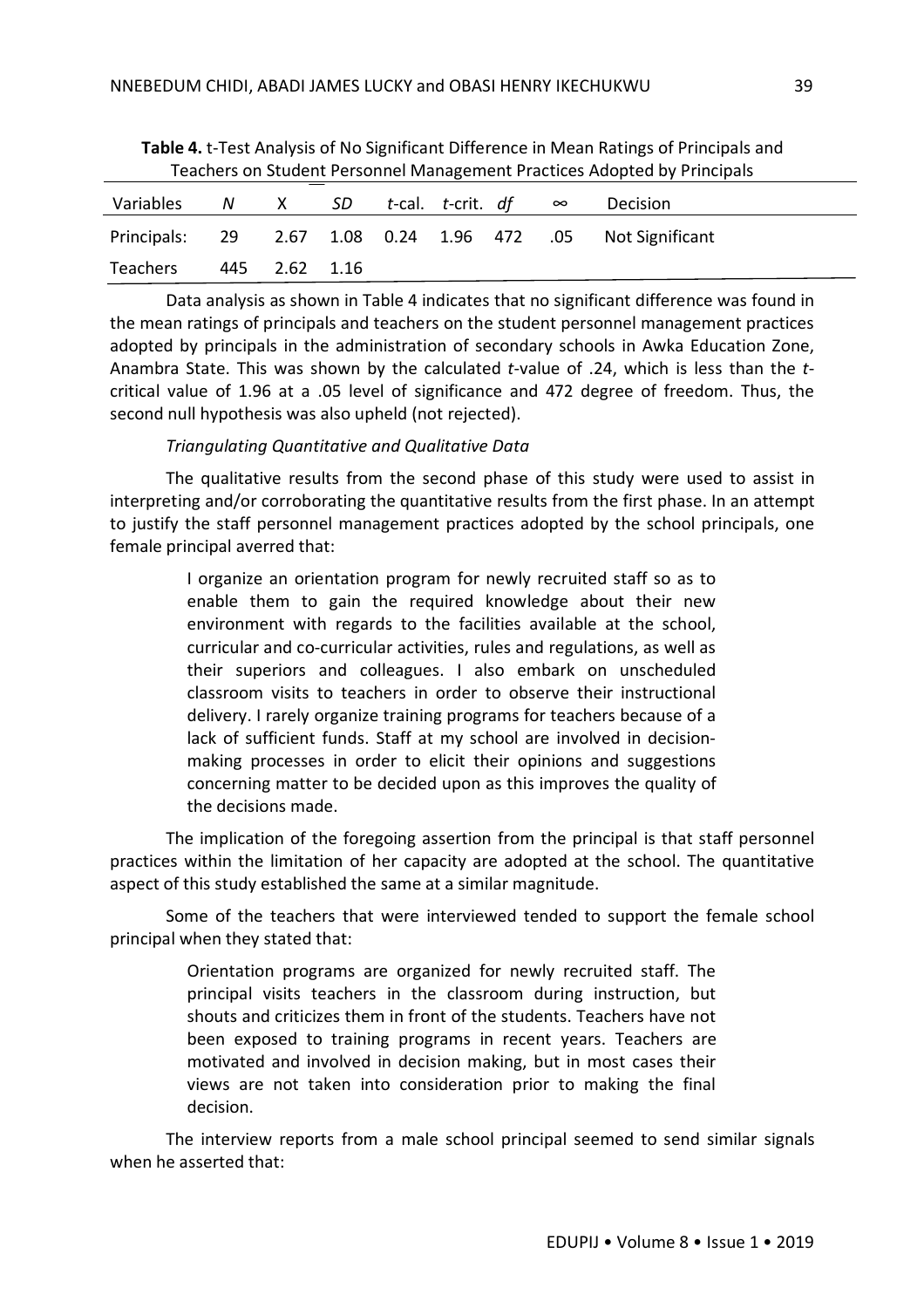| Teachers on Student Personnel Management Practices Adopted by Principals |  |               |  |                                     |  |  |  |                                                            |  |  |  |
|--------------------------------------------------------------------------|--|---------------|--|-------------------------------------|--|--|--|------------------------------------------------------------|--|--|--|
| Variables                                                                |  |               |  | $N$ X SD t-cal. t-crit. df $\infty$ |  |  |  | Decision                                                   |  |  |  |
|                                                                          |  |               |  |                                     |  |  |  | Principals: 29 2.67 1.08 0.24 1.96 472 .05 Not Significant |  |  |  |
| Teachers                                                                 |  | 445 2.62 1.16 |  |                                     |  |  |  |                                                            |  |  |  |

**Table 4.** t-Test Analysis of No Significant Difference in Mean Ratings of Principals and Teachers on Student Personnel Management Practices Adopted by Principals

Data analysis as shown in Table 4 indicates that no significant difference was found in the mean ratings of principals and teachers on the student personnel management practices adopted by principals in the administration of secondary schools in Awka Education Zone, Anambra State. This was shown by the calculated *t*-value of .24, which is less than the *t*critical value of 1.96 at a .05 level of significance and 472 degree of freedom. Thus, the second null hypothesis was also upheld (not rejected).

## *Triangulating Quantitative and Qualitative Data*

The qualitative results from the second phase of this study were used to assist in interpreting and/or corroborating the quantitative results from the first phase. In an attempt to justify the staff personnel management practices adopted by the school principals, one female principal averred that:

> I organize an orientation program for newly recruited staff so as to enable them to gain the required knowledge about their new environment with regards to the facilities available at the school, curricular and co-curricular activities, rules and regulations, as well as their superiors and colleagues. I also embark on unscheduled classroom visits to teachers in order to observe their instructional delivery. I rarely organize training programs for teachers because of a lack of sufficient funds. Staff at my school are involved in decisionmaking processes in order to elicit their opinions and suggestions concerning matter to be decided upon as this improves the quality of the decisions made.

The implication of the foregoing assertion from the principal is that staff personnel practices within the limitation of her capacity are adopted at the school. The quantitative aspect of this study established the same at a similar magnitude.

Some of the teachers that were interviewed tended to support the female school principal when they stated that:

> Orientation programs are organized for newly recruited staff. The principal visits teachers in the classroom during instruction, but shouts and criticizes them in front of the students. Teachers have not been exposed to training programs in recent years. Teachers are motivated and involved in decision making, but in most cases their views are not taken into consideration prior to making the final decision.

The interview reports from a male school principal seemed to send similar signals when he asserted that: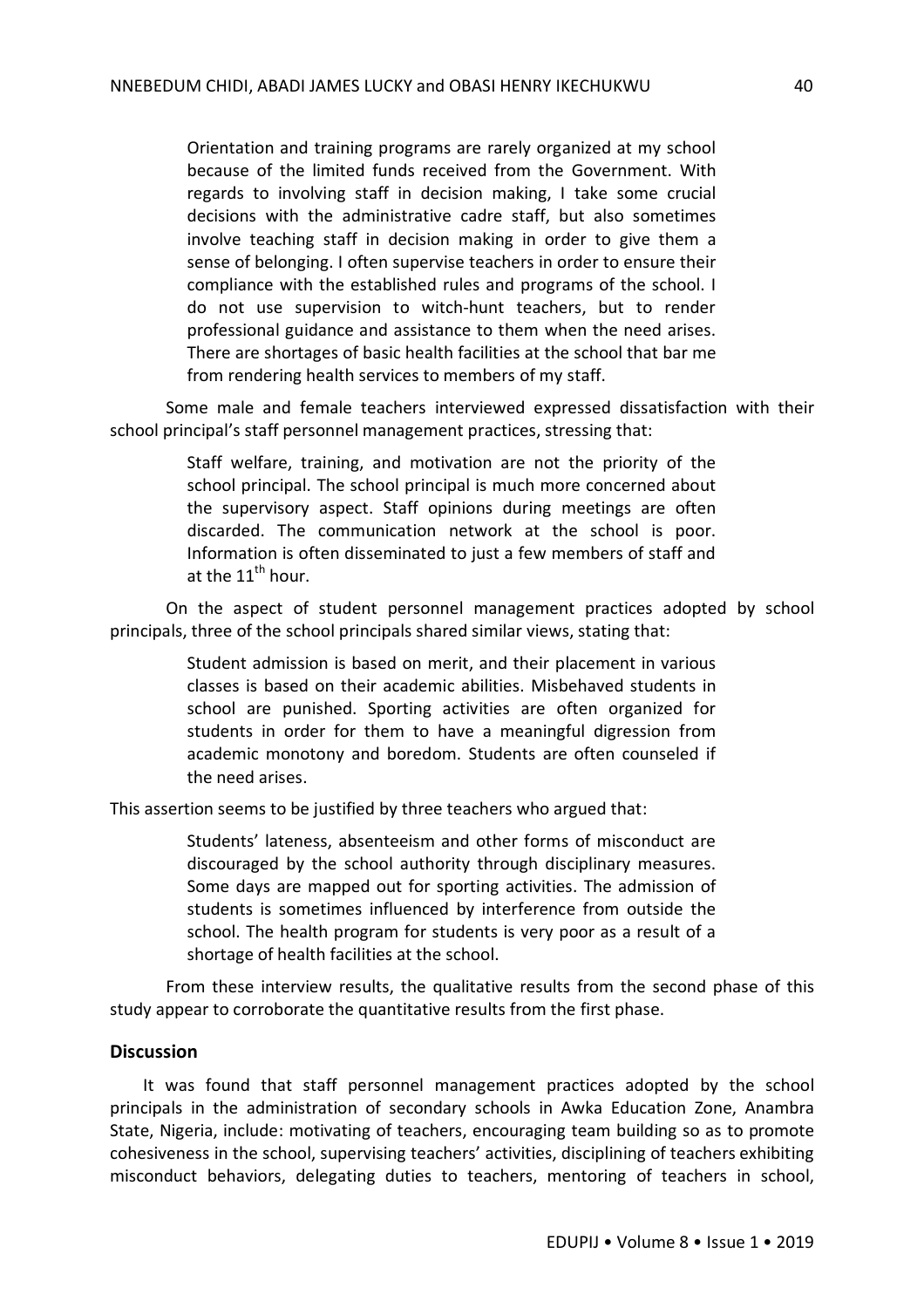Orientation and training programs are rarely organized at my school because of the limited funds received from the Government. With regards to involving staff in decision making, I take some crucial decisions with the administrative cadre staff, but also sometimes involve teaching staff in decision making in order to give them a sense of belonging. I often supervise teachers in order to ensure their compliance with the established rules and programs of the school. I do not use supervision to witch-hunt teachers, but to render professional guidance and assistance to them when the need arises. There are shortages of basic health facilities at the school that bar me from rendering health services to members of my staff.

Some male and female teachers interviewed expressed dissatisfaction with their school principal's staff personnel management practices, stressing that:

> Staff welfare, training, and motivation are not the priority of the school principal. The school principal is much more concerned about the supervisory aspect. Staff opinions during meetings are often discarded. The communication network at the school is poor. Information is often disseminated to just a few members of staff and at the  $11^{th}$  hour.

On the aspect of student personnel management practices adopted by school principals, three of the school principals shared similar views, stating that:

> Student admission is based on merit, and their placement in various classes is based on their academic abilities. Misbehaved students in school are punished. Sporting activities are often organized for students in order for them to have a meaningful digression from academic monotony and boredom. Students are often counseled if the need arises.

This assertion seems to be justified by three teachers who argued that:

Students' lateness, absenteeism and other forms of misconduct are discouraged by the school authority through disciplinary measures. Some days are mapped out for sporting activities. The admission of students is sometimes influenced by interference from outside the school. The health program for students is very poor as a result of a shortage of health facilities at the school.

From these interview results, the qualitative results from the second phase of this study appear to corroborate the quantitative results from the first phase.

## **Discussion**

It was found that staff personnel management practices adopted by the school principals in the administration of secondary schools in Awka Education Zone, Anambra State, Nigeria, include: motivating of teachers, encouraging team building so as to promote cohesiveness in the school, supervising teachers' activities, disciplining of teachers exhibiting misconduct behaviors, delegating duties to teachers, mentoring of teachers in school,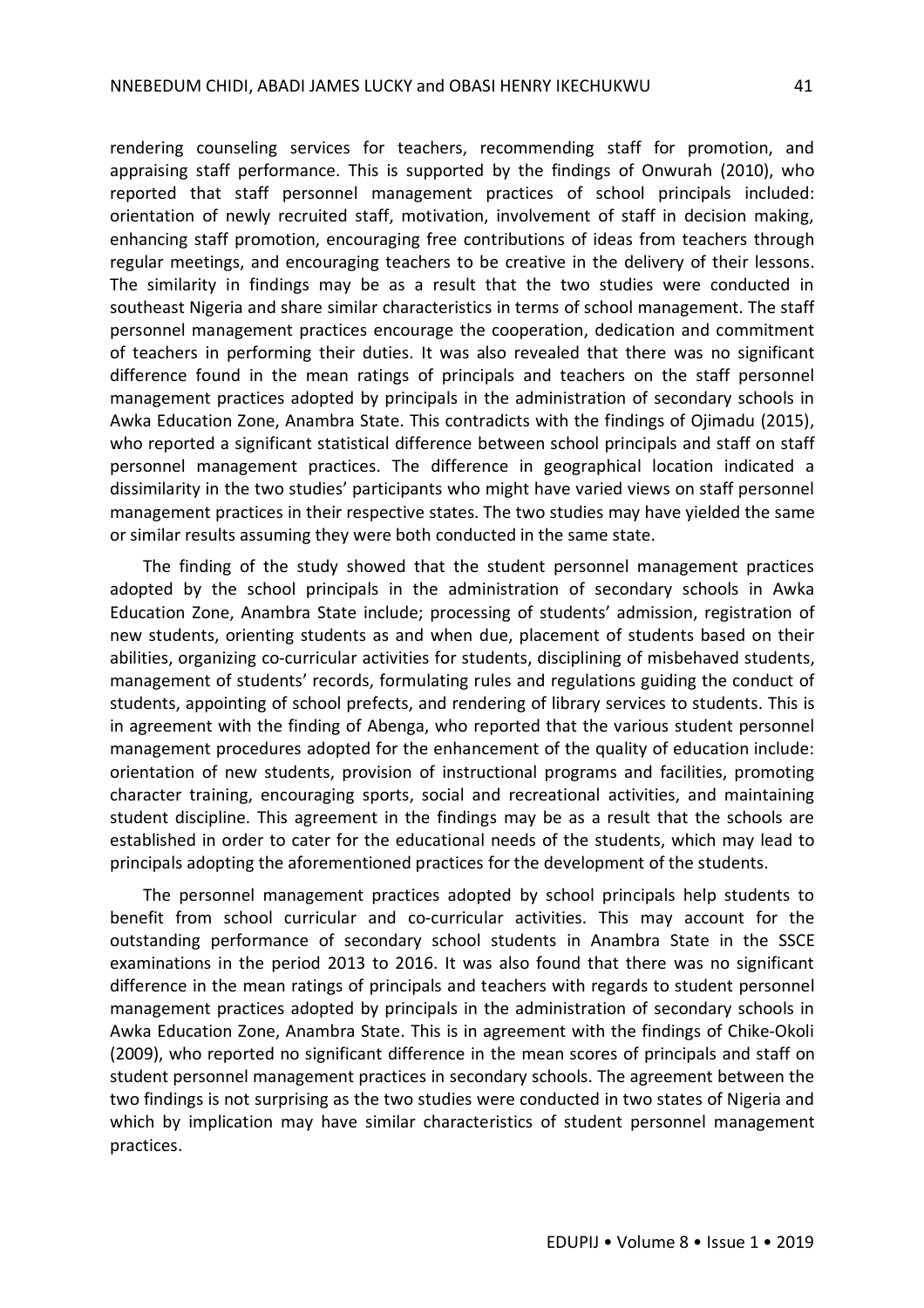rendering counseling services for teachers, recommending staff for promotion, and appraising staff performance. This is supported by the findings of Onwurah (2010), who reported that staff personnel management practices of school principals included: orientation of newly recruited staff, motivation, involvement of staff in decision making, enhancing staff promotion, encouraging free contributions of ideas from teachers through regular meetings, and encouraging teachers to be creative in the delivery of their lessons. The similarity in findings may be as a result that the two studies were conducted in southeast Nigeria and share similar characteristics in terms of school management. The staff personnel management practices encourage the cooperation, dedication and commitment of teachers in performing their duties. It was also revealed that there was no significant difference found in the mean ratings of principals and teachers on the staff personnel management practices adopted by principals in the administration of secondary schools in Awka Education Zone, Anambra State. This contradicts with the findings of Ojimadu (2015), who reported a significant statistical difference between school principals and staff on staff personnel management practices. The difference in geographical location indicated a dissimilarity in the two studies' participants who might have varied views on staff personnel management practices in their respective states. The two studies may have yielded the same or similar results assuming they were both conducted in the same state.

The finding of the study showed that the student personnel management practices adopted by the school principals in the administration of secondary schools in Awka Education Zone, Anambra State include; processing of students' admission, registration of new students, orienting students as and when due, placement of students based on their abilities, organizing co-curricular activities for students, disciplining of misbehaved students, management of students' records, formulating rules and regulations guiding the conduct of students, appointing of school prefects, and rendering of library services to students. This is in agreement with the finding of Abenga, who reported that the various student personnel management procedures adopted for the enhancement of the quality of education include: orientation of new students, provision of instructional programs and facilities, promoting character training, encouraging sports, social and recreational activities, and maintaining student discipline. This agreement in the findings may be as a result that the schools are established in order to cater for the educational needs of the students, which may lead to principals adopting the aforementioned practices for the development of the students.

The personnel management practices adopted by school principals help students to benefit from school curricular and co-curricular activities. This may account for the outstanding performance of secondary school students in Anambra State in the SSCE examinations in the period 2013 to 2016. It was also found that there was no significant difference in the mean ratings of principals and teachers with regards to student personnel management practices adopted by principals in the administration of secondary schools in Awka Education Zone, Anambra State. This is in agreement with the findings of Chike-Okoli (2009), who reported no significant difference in the mean scores of principals and staff on student personnel management practices in secondary schools. The agreement between the two findings is not surprising as the two studies were conducted in two states of Nigeria and which by implication may have similar characteristics of student personnel management practices.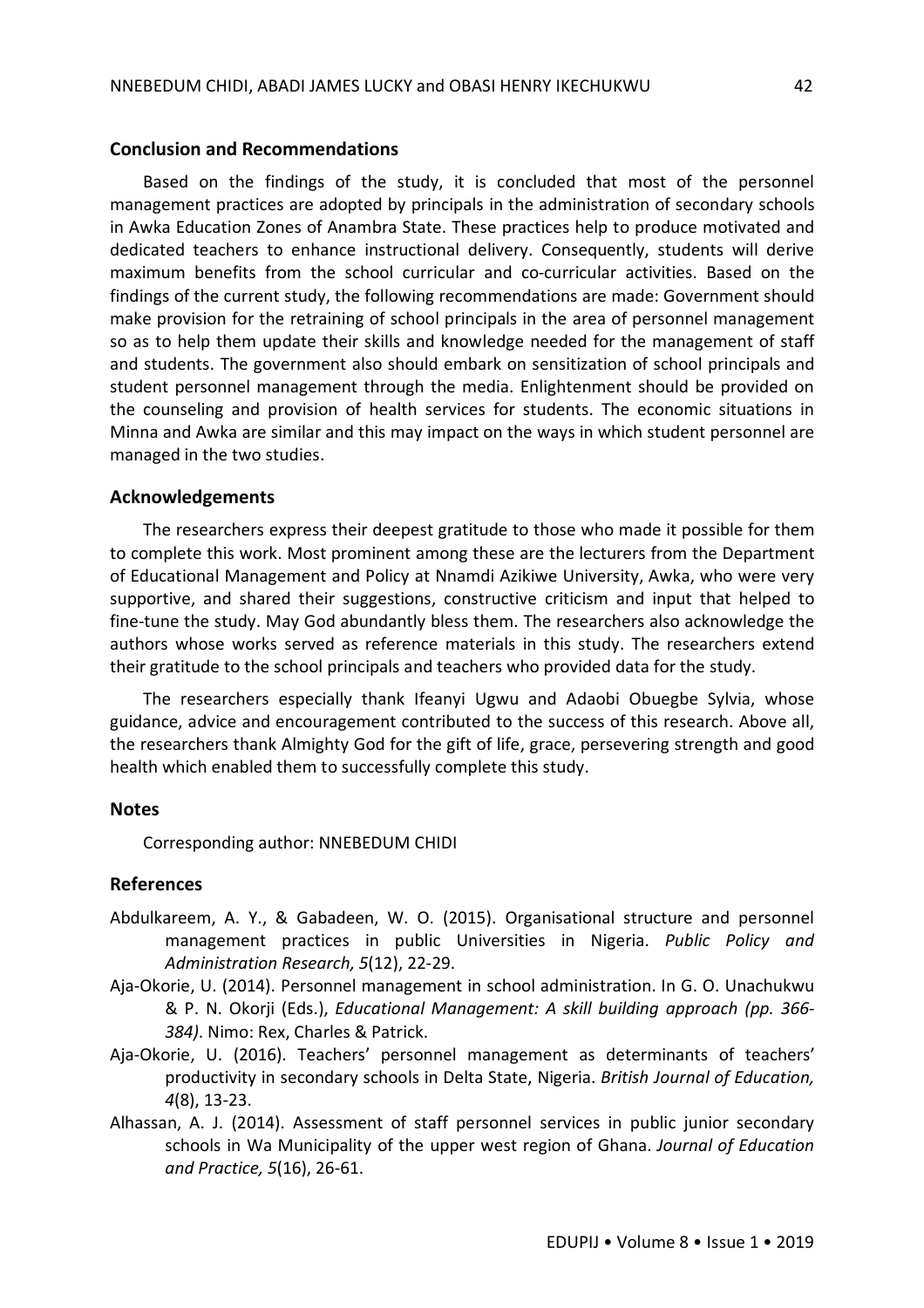#### **Conclusion and Recommendations**

Based on the findings of the study, it is concluded that most of the personnel management practices are adopted by principals in the administration of secondary schools in Awka Education Zones of Anambra State. These practices help to produce motivated and dedicated teachers to enhance instructional delivery. Consequently, students will derive maximum benefits from the school curricular and co-curricular activities. Based on the findings of the current study, the following recommendations are made: Government should make provision for the retraining of school principals in the area of personnel management so as to help them update their skills and knowledge needed for the management of staff and students. The government also should embark on sensitization of school principals and student personnel management through the media. Enlightenment should be provided on the counseling and provision of health services for students. The economic situations in Minna and Awka are similar and this may impact on the ways in which student personnel are managed in the two studies.

#### **Acknowledgements**

The researchers express their deepest gratitude to those who made it possible for them to complete this work. Most prominent among these are the lecturers from the Department of Educational Management and Policy at Nnamdi Azikiwe University, Awka, who were very supportive, and shared their suggestions, constructive criticism and input that helped to fine-tune the study. May God abundantly bless them. The researchers also acknowledge the authors whose works served as reference materials in this study. The researchers extend their gratitude to the school principals and teachers who provided data for the study.

The researchers especially thank Ifeanyi Ugwu and Adaobi Obuegbe Sylvia, whose guidance, advice and encouragement contributed to the success of this research. Above all, the researchers thank Almighty God for the gift of life, grace, persevering strength and good health which enabled them to successfully complete this study.

## **Notes**

Corresponding author: NNEBEDUM CHIDI

#### **References**

- Abdulkareem, A. Y., & Gabadeen, W. O. (2015). Organisational structure and personnel management practices in public Universities in Nigeria. *Public Policy and Administration Research, 5*(12), 22-29.
- Aja-Okorie, U. (2014). Personnel management in school administration. In G. O. Unachukwu & P. N. Okorji (Eds.), *Educational Management: A skill building approach (pp. 366- 384)*. Nimo: Rex, Charles & Patrick.
- Aja-Okorie, U. (2016). Teachers' personnel management as determinants of teachers' productivity in secondary schools in Delta State, Nigeria. *British Journal of Education, 4*(8), 13-23.
- Alhassan, A. J. (2014). Assessment of staff personnel services in public junior secondary schools in Wa Municipality of the upper west region of Ghana. *Journal of Education and Practice, 5*(16), 26-61.